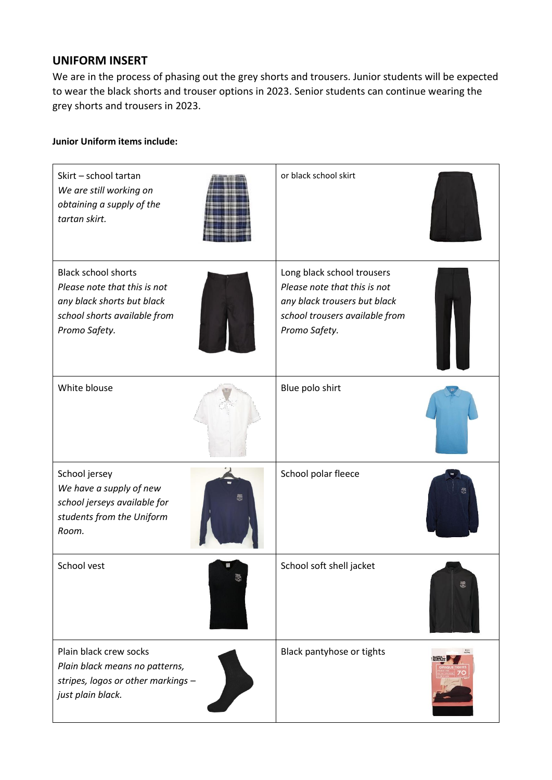## **UNIFORM INSERT**

We are in the process of phasing out the grey shorts and trousers. Junior students will be expected to wear the black shorts and trouser options in 2023. Senior students can continue wearing the grey shorts and trousers in 2023.

## **Junior Uniform items include:**

| Skirt - school tartan<br>We are still working on<br>obtaining a supply of the<br>tartan skirt.                                            | or black school skirt                                                                                                                         |
|-------------------------------------------------------------------------------------------------------------------------------------------|-----------------------------------------------------------------------------------------------------------------------------------------------|
| <b>Black school shorts</b><br>Please note that this is not<br>any black shorts but black<br>school shorts available from<br>Promo Safety. | Long black school trousers<br>Please note that this is not<br>any black trousers but black<br>school trousers available from<br>Promo Safety. |
| White blouse                                                                                                                              | Blue polo shirt                                                                                                                               |
| School jersey<br>We have a supply of new<br>school jerseys available for<br>students from the Uniform<br>Room.                            | School polar fleece                                                                                                                           |
| School vest                                                                                                                               | School soft shell jacket<br>恩                                                                                                                 |
| Plain black crew socks<br>Plain black means no patterns,<br>stripes, logos or other markings -<br>just plain black.                       | Black pantyhose or tights                                                                                                                     |